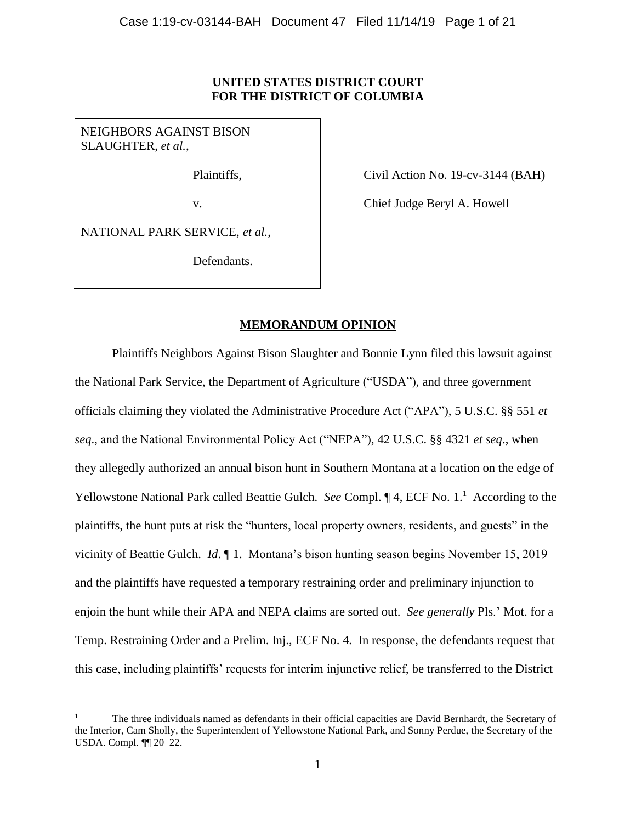## **UNITED STATES DISTRICT COURT FOR THE DISTRICT OF COLUMBIA**

NEIGHBORS AGAINST BISON SLAUGHTER, *et al.*,

Plaintiffs,

Civil Action No. 19-cv-3144 (BAH)

v.

Chief Judge Beryl A. Howell

NATIONAL PARK SERVICE, *et al.*,

 $\overline{a}$ 

Defendants.

## **MEMORANDUM OPINION**

Plaintiffs Neighbors Against Bison Slaughter and Bonnie Lynn filed this lawsuit against the National Park Service, the Department of Agriculture ("USDA"), and three government officials claiming they violated the Administrative Procedure Act ("APA"), 5 U.S.C. §§ 551 *et seq*., and the National Environmental Policy Act ("NEPA"), 42 U.S.C. §§ 4321 *et seq*., when they allegedly authorized an annual bison hunt in Southern Montana at a location on the edge of Yellowstone National Park called Beattie Gulch. *See* Compl. ¶ 4, ECF No. 1.<sup>1</sup> According to the plaintiffs, the hunt puts at risk the "hunters, local property owners, residents, and guests" in the vicinity of Beattie Gulch. *Id*. ¶ 1. Montana's bison hunting season begins November 15, 2019 and the plaintiffs have requested a temporary restraining order and preliminary injunction to enjoin the hunt while their APA and NEPA claims are sorted out. *See generally* Pls.' Mot. for a Temp. Restraining Order and a Prelim. Inj., ECF No. 4. In response, the defendants request that this case, including plaintiffs' requests for interim injunctive relief, be transferred to the District

<sup>1</sup> The three individuals named as defendants in their official capacities are David Bernhardt, the Secretary of the Interior, Cam Sholly, the Superintendent of Yellowstone National Park, and Sonny Perdue, the Secretary of the USDA. Compl. ¶¶ 20–22.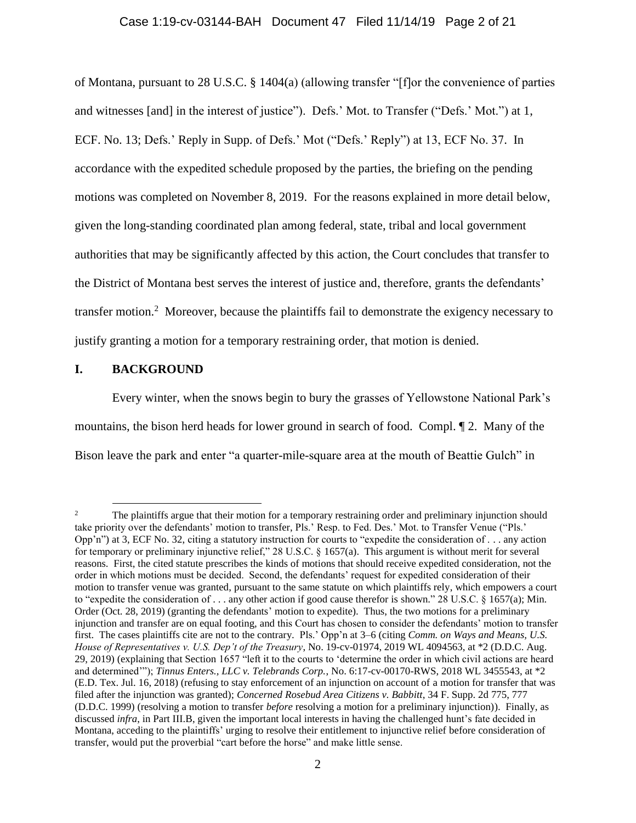### Case 1:19-cv-03144-BAH Document 47 Filed 11/14/19 Page 2 of 21

of Montana, pursuant to 28 U.S.C. § 1404(a) (allowing transfer "[f]or the convenience of parties and witnesses [and] in the interest of justice"). Defs.' Mot. to Transfer ("Defs.' Mot.") at 1, ECF. No. 13; Defs.' Reply in Supp. of Defs.' Mot ("Defs.' Reply") at 13, ECF No. 37. In accordance with the expedited schedule proposed by the parties, the briefing on the pending motions was completed on November 8, 2019. For the reasons explained in more detail below, given the long-standing coordinated plan among federal, state, tribal and local government authorities that may be significantly affected by this action, the Court concludes that transfer to the District of Montana best serves the interest of justice and, therefore, grants the defendants' transfer motion.<sup>2</sup> Moreover, because the plaintiffs fail to demonstrate the exigency necessary to justify granting a motion for a temporary restraining order, that motion is denied.

## **I. BACKGROUND**

 $\overline{a}$ 

Every winter, when the snows begin to bury the grasses of Yellowstone National Park's mountains, the bison herd heads for lower ground in search of food. Compl. ¶ 2. Many of the Bison leave the park and enter "a quarter-mile-square area at the mouth of Beattie Gulch" in

<sup>&</sup>lt;sup>2</sup> The plaintiffs argue that their motion for a temporary restraining order and preliminary injunction should take priority over the defendants' motion to transfer, Pls.' Resp. to Fed. Des.' Mot. to Transfer Venue ("Pls.' Opp'n") at 3, ECF No. 32, citing a statutory instruction for courts to "expedite the consideration of . . . any action for temporary or preliminary injunctive relief," 28 U.S.C. § 1657(a). This argument is without merit for several reasons. First, the cited statute prescribes the kinds of motions that should receive expedited consideration, not the order in which motions must be decided. Second, the defendants' request for expedited consideration of their motion to transfer venue was granted, pursuant to the same statute on which plaintiffs rely, which empowers a court to "expedite the consideration of . . . any other action if good cause therefor is shown." 28 U.S.C. § 1657(a); Min. Order (Oct. 28, 2019) (granting the defendants' motion to expedite). Thus, the two motions for a preliminary injunction and transfer are on equal footing, and this Court has chosen to consider the defendants' motion to transfer first. The cases plaintiffs cite are not to the contrary. Pls.' Opp'n at 3–6 (citing *Comm. on Ways and Means, U.S. House of Representatives v. U.S. Dep't of the Treasury*, No. 19-cv-01974, 2019 WL 4094563, at \*2 (D.D.C. Aug. 29, 2019) (explaining that Section 1657 "left it to the courts to 'determine the order in which civil actions are heard and determined'"); *Tinnus Enters., LLC v. Telebrands Corp.*, No. 6:17-cv-00170-RWS, 2018 WL 3455543, at \*2 (E.D. Tex. Jul. 16, 2018) (refusing to stay enforcement of an injunction on account of a motion for transfer that was filed after the injunction was granted); *Concerned Rosebud Area Citizens v. Babbitt*, 34 F. Supp. 2d 775, 777 (D.D.C. 1999) (resolving a motion to transfer *before* resolving a motion for a preliminary injunction)). Finally, as discussed *infra*, in Part III.B, given the important local interests in having the challenged hunt's fate decided in Montana, acceding to the plaintiffs' urging to resolve their entitlement to injunctive relief before consideration of transfer, would put the proverbial "cart before the horse" and make little sense.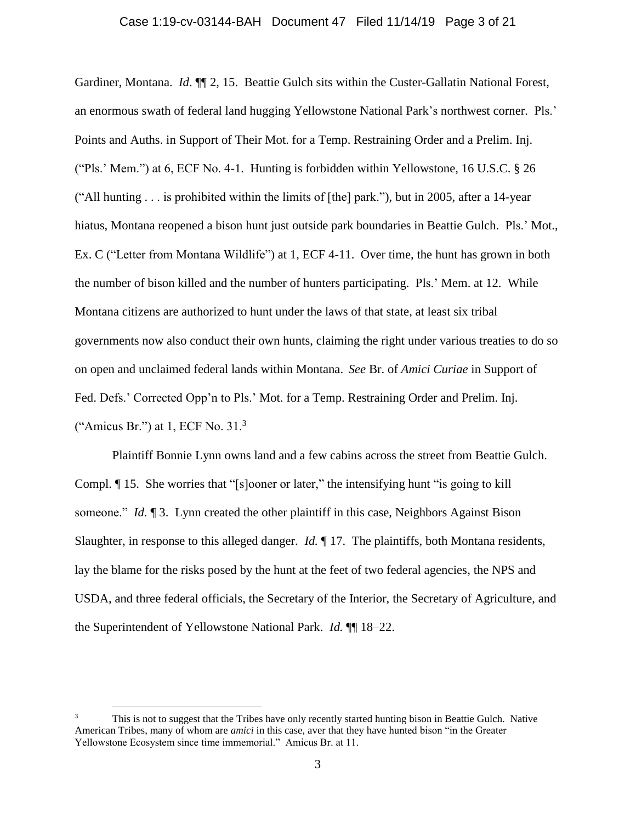Gardiner, Montana. *Id.*  $\P$ <sup> $\uparrow$ </sup> 2, 15. Beattie Gulch sits within the Custer-Gallatin National Forest, an enormous swath of federal land hugging Yellowstone National Park's northwest corner. Pls.' Points and Auths. in Support of Their Mot. for a Temp. Restraining Order and a Prelim. Inj. ("Pls.' Mem.") at 6, ECF No. 4-1. Hunting is forbidden within Yellowstone, 16 U.S.C. § 26 ("All hunting . . . is prohibited within the limits of [the] park."), but in 2005, after a 14-year hiatus, Montana reopened a bison hunt just outside park boundaries in Beattie Gulch. Pls.' Mot., Ex. C ("Letter from Montana Wildlife") at 1, ECF 4-11. Over time, the hunt has grown in both the number of bison killed and the number of hunters participating. Pls.' Mem. at 12. While Montana citizens are authorized to hunt under the laws of that state, at least six tribal governments now also conduct their own hunts, claiming the right under various treaties to do so on open and unclaimed federal lands within Montana. *See* Br. of *Amici Curiae* in Support of Fed. Defs.' Corrected Opp'n to Pls.' Mot. for a Temp. Restraining Order and Prelim. Inj. ("Amicus Br.") at  $1$ , ECF No.  $31<sup>3</sup>$ 

Plaintiff Bonnie Lynn owns land and a few cabins across the street from Beattie Gulch. Compl. ¶ 15. She worries that "[s]ooner or later," the intensifying hunt "is going to kill someone." *Id.* 13. Lynn created the other plaintiff in this case, Neighbors Against Bison Slaughter, in response to this alleged danger. *Id.* ¶ 17. The plaintiffs, both Montana residents, lay the blame for the risks posed by the hunt at the feet of two federal agencies, the NPS and USDA, and three federal officials, the Secretary of the Interior, the Secretary of Agriculture, and the Superintendent of Yellowstone National Park. *Id.* ¶¶ 18–22.

This is not to suggest that the Tribes have only recently started hunting bison in Beattie Gulch. Native American Tribes, many of whom are *amici* in this case, aver that they have hunted bison "in the Greater Yellowstone Ecosystem since time immemorial." Amicus Br. at 11.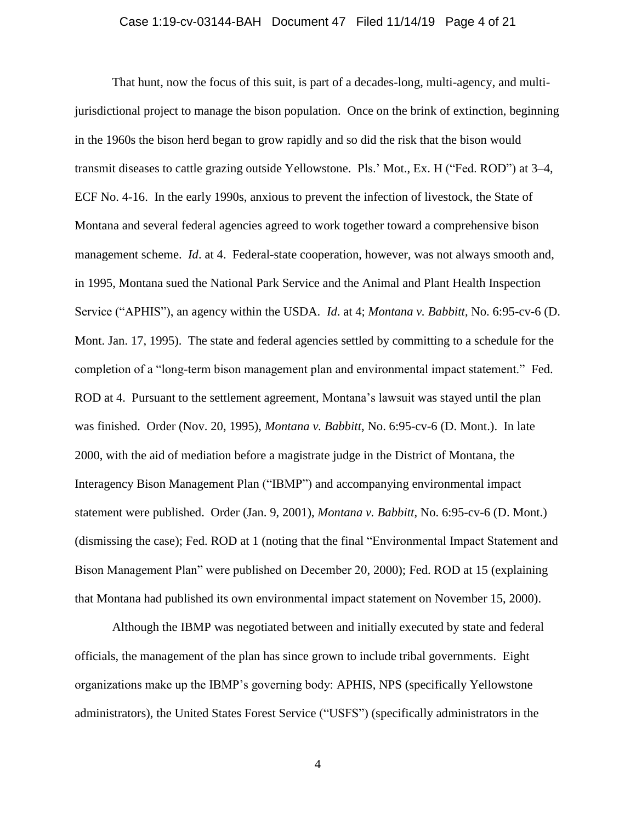## Case 1:19-cv-03144-BAH Document 47 Filed 11/14/19 Page 4 of 21

That hunt, now the focus of this suit, is part of a decades-long, multi-agency, and multijurisdictional project to manage the bison population. Once on the brink of extinction, beginning in the 1960s the bison herd began to grow rapidly and so did the risk that the bison would transmit diseases to cattle grazing outside Yellowstone. Pls.' Mot., Ex. H ("Fed. ROD") at 3–4, ECF No. 4-16. In the early 1990s, anxious to prevent the infection of livestock, the State of Montana and several federal agencies agreed to work together toward a comprehensive bison management scheme. *Id*. at 4. Federal-state cooperation, however, was not always smooth and, in 1995, Montana sued the National Park Service and the Animal and Plant Health Inspection Service ("APHIS"), an agency within the USDA. *Id*. at 4; *Montana v. Babbitt*, No. 6:95-cv-6 (D. Mont. Jan. 17, 1995). The state and federal agencies settled by committing to a schedule for the completion of a "long-term bison management plan and environmental impact statement." Fed. ROD at 4. Pursuant to the settlement agreement, Montana's lawsuit was stayed until the plan was finished. Order (Nov. 20, 1995), *Montana v. Babbitt*, No. 6:95-cv-6 (D. Mont.). In late 2000, with the aid of mediation before a magistrate judge in the District of Montana, the Interagency Bison Management Plan ("IBMP") and accompanying environmental impact statement were published. Order (Jan. 9, 2001), *Montana v. Babbitt*, No. 6:95-cv-6 (D. Mont.) (dismissing the case); Fed. ROD at 1 (noting that the final "Environmental Impact Statement and Bison Management Plan" were published on December 20, 2000); Fed. ROD at 15 (explaining that Montana had published its own environmental impact statement on November 15, 2000).

Although the IBMP was negotiated between and initially executed by state and federal officials, the management of the plan has since grown to include tribal governments. Eight organizations make up the IBMP's governing body: APHIS, NPS (specifically Yellowstone administrators), the United States Forest Service ("USFS") (specifically administrators in the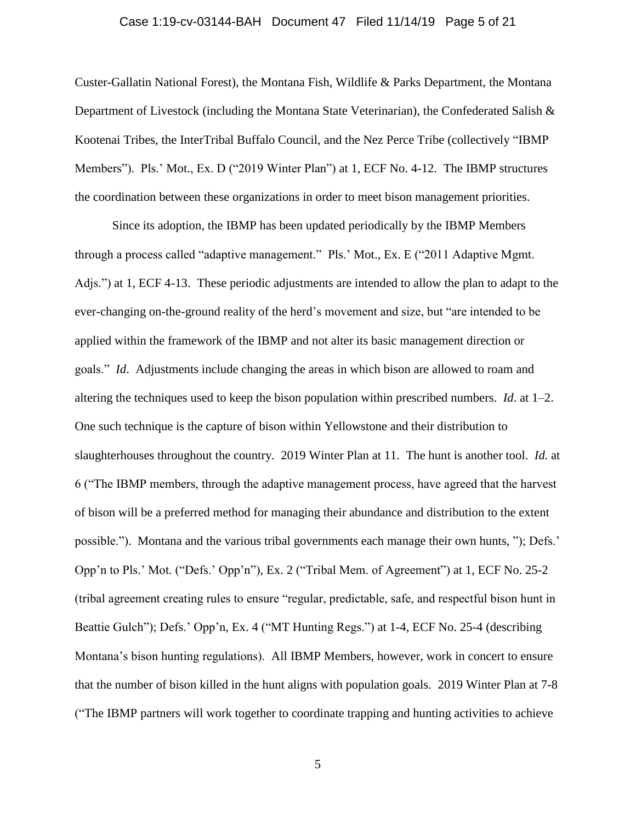### Case 1:19-cv-03144-BAH Document 47 Filed 11/14/19 Page 5 of 21

Custer-Gallatin National Forest), the Montana Fish, Wildlife & Parks Department, the Montana Department of Livestock (including the Montana State Veterinarian), the Confederated Salish & Kootenai Tribes, the InterTribal Buffalo Council, and the Nez Perce Tribe (collectively "IBMP Members"). Pls.' Mot., Ex. D ("2019 Winter Plan") at 1, ECF No. 4-12. The IBMP structures the coordination between these organizations in order to meet bison management priorities.

Since its adoption, the IBMP has been updated periodically by the IBMP Members through a process called "adaptive management." Pls.' Mot., Ex. E ("2011 Adaptive Mgmt. Adjs.") at 1, ECF 4-13. These periodic adjustments are intended to allow the plan to adapt to the ever-changing on-the-ground reality of the herd's movement and size, but "are intended to be applied within the framework of the IBMP and not alter its basic management direction or goals." *Id*. Adjustments include changing the areas in which bison are allowed to roam and altering the techniques used to keep the bison population within prescribed numbers. *Id*. at 1–2. One such technique is the capture of bison within Yellowstone and their distribution to slaughterhouses throughout the country. 2019 Winter Plan at 11. The hunt is another tool. *Id.* at 6 ("The IBMP members, through the adaptive management process, have agreed that the harvest of bison will be a preferred method for managing their abundance and distribution to the extent possible."). Montana and the various tribal governments each manage their own hunts, "); Defs.' Opp'n to Pls.' Mot. ("Defs.' Opp'n"), Ex. 2 ("Tribal Mem. of Agreement") at 1, ECF No. 25-2 (tribal agreement creating rules to ensure "regular, predictable, safe, and respectful bison hunt in Beattie Gulch"); Defs.' Opp'n, Ex. 4 ("MT Hunting Regs.") at 1-4, ECF No. 25-4 (describing Montana's bison hunting regulations). All IBMP Members, however, work in concert to ensure that the number of bison killed in the hunt aligns with population goals. 2019 Winter Plan at 7-8 ("The IBMP partners will work together to coordinate trapping and hunting activities to achieve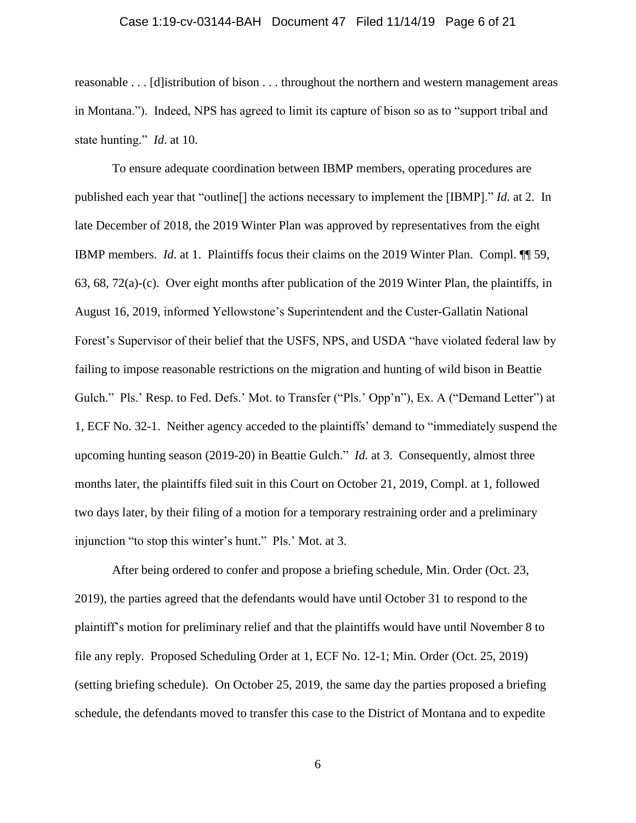#### Case 1:19-cv-03144-BAH Document 47 Filed 11/14/19 Page 6 of 21

reasonable . . . [d]istribution of bison . . . throughout the northern and western management areas in Montana."). Indeed, NPS has agreed to limit its capture of bison so as to "support tribal and state hunting." *Id*. at 10.

To ensure adequate coordination between IBMP members, operating procedures are published each year that "outline[] the actions necessary to implement the [IBMP]." *Id.* at 2. In late December of 2018, the 2019 Winter Plan was approved by representatives from the eight IBMP members. *Id*. at 1. Plaintiffs focus their claims on the 2019 Winter Plan. Compl. ¶¶ 59, 63, 68, 72(a)-(c). Over eight months after publication of the 2019 Winter Plan, the plaintiffs, in August 16, 2019, informed Yellowstone's Superintendent and the Custer-Gallatin National Forest's Supervisor of their belief that the USFS, NPS, and USDA "have violated federal law by failing to impose reasonable restrictions on the migration and hunting of wild bison in Beattie Gulch." Pls.' Resp. to Fed. Defs.' Mot. to Transfer ("Pls.' Opp'n"), Ex. A ("Demand Letter") at 1, ECF No. 32-1. Neither agency acceded to the plaintiffs' demand to "immediately suspend the upcoming hunting season (2019-20) in Beattie Gulch." *Id.* at 3. Consequently, almost three months later, the plaintiffs filed suit in this Court on October 21, 2019, Compl. at 1, followed two days later, by their filing of a motion for a temporary restraining order and a preliminary injunction "to stop this winter's hunt." Pls.' Mot. at 3.

After being ordered to confer and propose a briefing schedule, Min. Order (Oct. 23, 2019), the parties agreed that the defendants would have until October 31 to respond to the plaintiff's motion for preliminary relief and that the plaintiffs would have until November 8 to file any reply. Proposed Scheduling Order at 1, ECF No. 12-1; Min. Order (Oct. 25, 2019) (setting briefing schedule). On October 25, 2019, the same day the parties proposed a briefing schedule, the defendants moved to transfer this case to the District of Montana and to expedite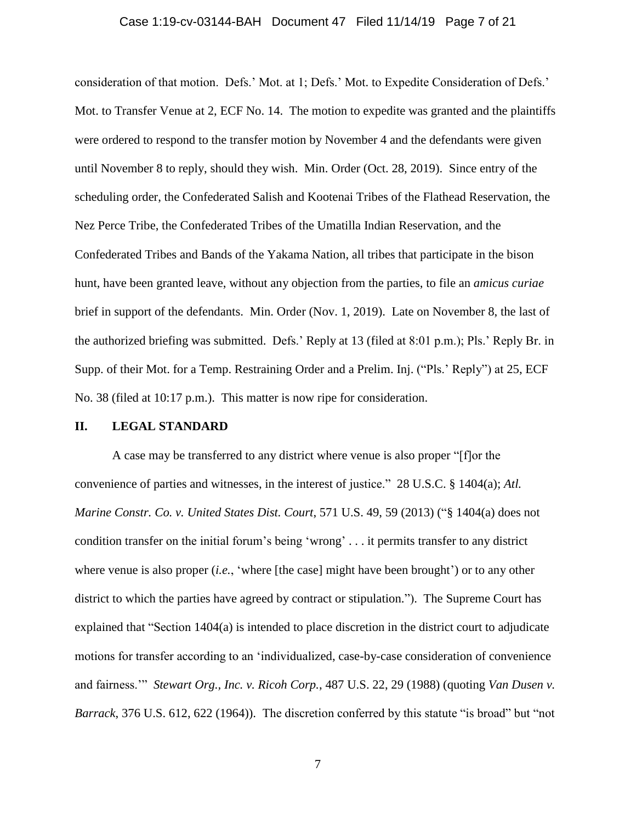#### Case 1:19-cv-03144-BAH Document 47 Filed 11/14/19 Page 7 of 21

consideration of that motion. Defs.' Mot. at 1; Defs.' Mot. to Expedite Consideration of Defs.' Mot. to Transfer Venue at 2, ECF No. 14. The motion to expedite was granted and the plaintiffs were ordered to respond to the transfer motion by November 4 and the defendants were given until November 8 to reply, should they wish. Min. Order (Oct. 28, 2019). Since entry of the scheduling order, the Confederated Salish and Kootenai Tribes of the Flathead Reservation, the Nez Perce Tribe, the Confederated Tribes of the Umatilla Indian Reservation, and the Confederated Tribes and Bands of the Yakama Nation, all tribes that participate in the bison hunt, have been granted leave, without any objection from the parties, to file an *amicus curiae* brief in support of the defendants. Min. Order (Nov. 1, 2019). Late on November 8, the last of the authorized briefing was submitted. Defs.' Reply at 13 (filed at 8:01 p.m.); Pls.' Reply Br. in Supp. of their Mot. for a Temp. Restraining Order and a Prelim. Inj. ("Pls.' Reply") at 25, ECF No. 38 (filed at 10:17 p.m.). This matter is now ripe for consideration.

## **II. LEGAL STANDARD**

A case may be transferred to any district where venue is also proper "[f]or the convenience of parties and witnesses, in the interest of justice." 28 U.S.C. § 1404(a); *Atl. Marine Constr. Co. v. United States Dist. Court*, 571 U.S. 49, 59 (2013) ("§ 1404(a) does not condition transfer on the initial forum's being 'wrong' . . . it permits transfer to any district where venue is also proper *(i.e.,* 'where [the case] might have been brought') or to any other district to which the parties have agreed by contract or stipulation."). The Supreme Court has explained that "Section 1404(a) is intended to place discretion in the district court to adjudicate motions for transfer according to an 'individualized, case-by-case consideration of convenience and fairness.'" *Stewart Org., Inc. v. Ricoh Corp.*, 487 U.S. 22, 29 (1988) (quoting *Van Dusen v. Barrack*, 376 U.S. 612, 622 (1964)). The discretion conferred by this statute "is broad" but "not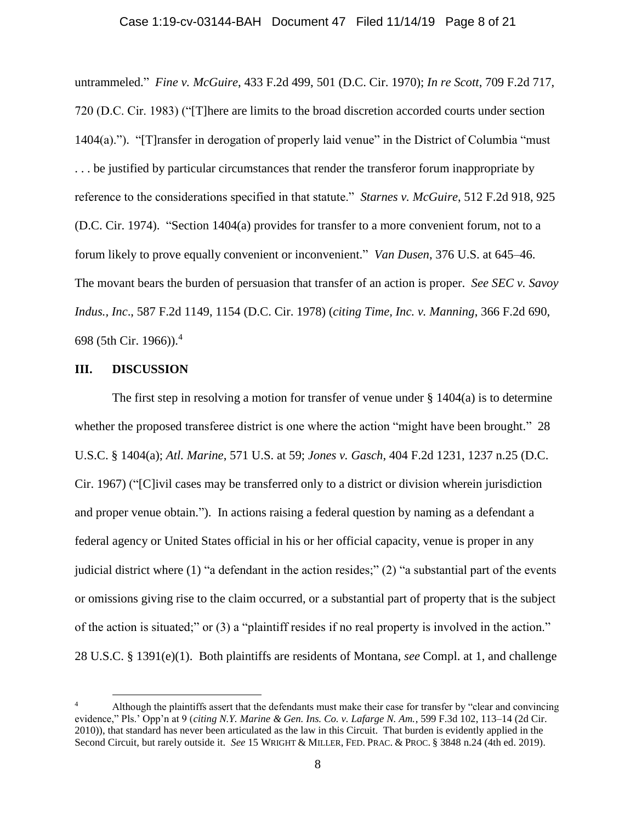#### Case 1:19-cv-03144-BAH Document 47 Filed 11/14/19 Page 8 of 21

untrammeled." *Fine v. McGuire*, 433 F.2d 499, 501 (D.C. Cir. 1970); *In re Scott*, 709 F.2d 717, 720 (D.C. Cir. 1983) ("[T]here are limits to the broad discretion accorded courts under section 1404(a)."). "[T]ransfer in derogation of properly laid venue" in the District of Columbia "must ... be justified by particular circumstances that render the transferor forum inappropriate by reference to the considerations specified in that statute." *Starnes v. McGuire*, 512 F.2d 918, 925 (D.C. Cir. 1974). "Section 1404(a) provides for transfer to a more convenient forum, not to a forum likely to prove equally convenient or inconvenient." *Van Dusen*, 376 U.S. at 645–46. The movant bears the burden of persuasion that transfer of an action is proper. *See [SEC v. Savoy](http://www.lexis.com/research/xlink?app=00075&view=full&searchtype=le&search=587+F.2d+1149%2520at%25201154)  Indus., Inc*[., 587 F.2d 1149, 1154 \(D.C. Cir. 1978\)](http://www.lexis.com/research/xlink?app=00075&view=full&searchtype=le&search=587+F.2d+1149%2520at%25201154) (*citing Time, Inc. v. Manning*, 366 F.2d 690, 698 (5th Cir. 1966)). 4

## **III. DISCUSSION**

 $\overline{a}$ 

The first step in resolving a motion for transfer of venue under  $\S 1404(a)$  is to determine whether the proposed transferee district is one where the action "might have been brought." 28 U.S.C. § 1404(a); *Atl. Marine*, 571 U.S. at 59; *Jones v. Gasch*, 404 F.2d 1231, 1237 n.25 (D.C. Cir. 1967) ("[C]ivil cases may be transferred only to a district or division wherein jurisdiction and proper venue obtain."). In actions raising a federal question by naming as a defendant a federal agency or United States official in his or her official capacity, venue is proper in any judicial district where (1) "a defendant in the action resides;" (2) "a substantial part of the events or omissions giving rise to the claim occurred, or a substantial part of property that is the subject of the action is situated;" or (3) a "plaintiff resides if no real property is involved in the action." 28 U.S.C. § 1391(e)(1). Both plaintiffs are residents of Montana, *see* Compl. at 1, and challenge

<sup>4</sup> Although the plaintiffs assert that the defendants must make their case for transfer by "clear and convincing evidence," Pls.' Opp'n at 9 (*citing N.Y. Marine & Gen. Ins. Co. v. Lafarge N. Am.*, 599 F.3d 102, 113–14 (2d Cir. 2010)), that standard has never been articulated as the law in this Circuit. That burden is evidently applied in the Second Circuit, but rarely outside it. *See* 15 WRIGHT & MILLER, FED. PRAC. & PROC. § 3848 n.24 (4th ed. 2019).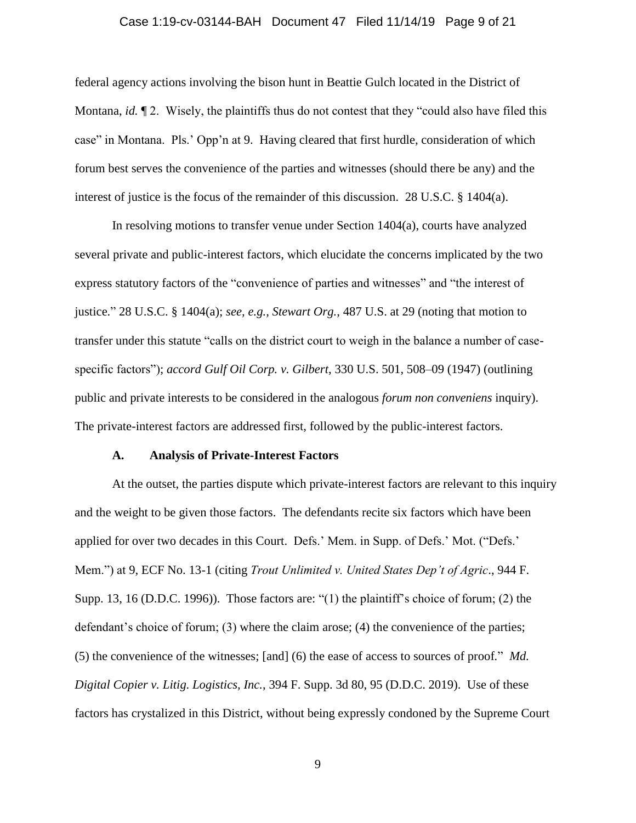## Case 1:19-cv-03144-BAH Document 47 Filed 11/14/19 Page 9 of 21

federal agency actions involving the bison hunt in Beattie Gulch located in the District of Montana, *id.*  $\mathbb{I}$  2. Wisely, the plaintiffs thus do not contest that they "could also have filed this case" in Montana. Pls.' Opp'n at 9. Having cleared that first hurdle, consideration of which forum best serves the convenience of the parties and witnesses (should there be any) and the interest of justice is the focus of the remainder of this discussion. 28 U.S.C. § 1404(a).

In resolving motions to transfer venue under Section 1404(a), courts have analyzed several private and public-interest factors, which elucidate the concerns implicated by the two express statutory factors of the "convenience of parties and witnesses" and "the interest of justice." 28 U.S.C. § 1404(a); *see, e.g.*, *Stewart Org.*, 487 U.S. at 29 (noting that motion to transfer under this statute "calls on the district court to weigh in the balance a number of casespecific factors"); *accord Gulf Oil Corp. v. Gilbert*, 330 U.S. 501, 508–09 (1947) (outlining public and private interests to be considered in the analogous *forum non conveniens* inquiry). The private-interest factors are addressed first, followed by the public-interest factors.

#### **A. Analysis of Private-Interest Factors**

At the outset, the parties dispute which private-interest factors are relevant to this inquiry and the weight to be given those factors. The defendants recite six factors which have been applied for over two decades in this Court. Defs.' Mem. in Supp. of Defs.' Mot. ("Defs.' Mem.") at 9, ECF No. 13-1 (citing *Trout Unlimited v. United States Dep't of Agric*., 944 F. Supp. 13, 16 (D.D.C. 1996)). Those factors are: "(1) the plaintiff's choice of forum; (2) the defendant's choice of forum; (3) where the claim arose; (4) the convenience of the parties; (5) the convenience of the witnesses; [and] (6) the ease of access to sources of proof*.*" *Md. Digital Copier v. Litig. Logistics, Inc.*, 394 F. Supp. 3d 80, 95 (D.D.C. 2019). Use of these factors has crystalized in this District, without being expressly condoned by the Supreme Court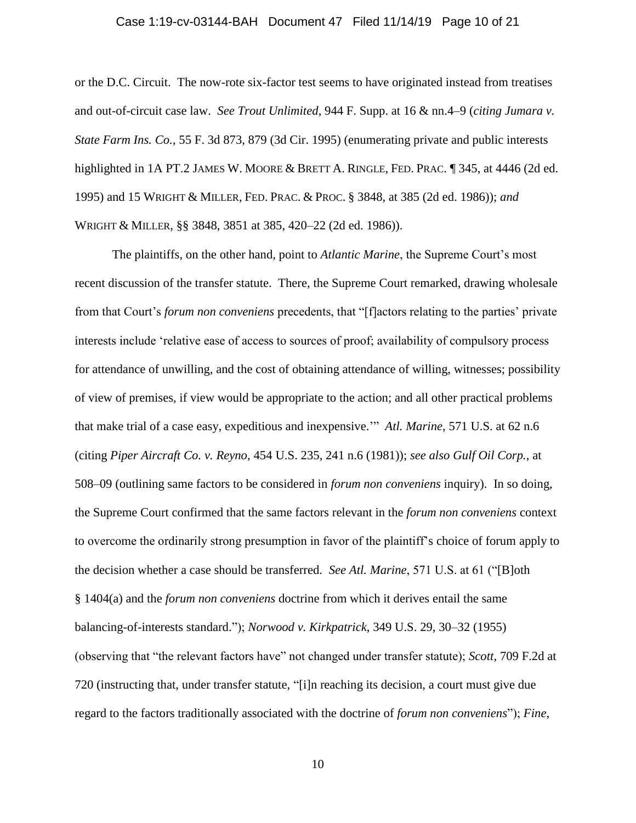#### Case 1:19-cv-03144-BAH Document 47 Filed 11/14/19 Page 10 of 21

or the D.C. Circuit. The now-rote six-factor test seems to have originated instead from treatises and out-of-circuit case law. *See Trout Unlimited*, 944 F. Supp. at 16 & nn.4–9 (*citing Jumara v. State Farm Ins. Co.*, 55 F. 3d 873, 879 (3d Cir. 1995) (enumerating private and public interests highlighted in 1A PT.2 JAMES W. MOORE & BRETT A. RINGLE, FED. PRAC. ¶ 345, at 4446 (2d ed. 1995) and 15 WRIGHT & MILLER, FED. PRAC. & PROC. § 3848, at 385 (2d ed. 1986)); *and* WRIGHT & MILLER, §§ 3848, 3851 at 385, 420–22 (2d ed. 1986)).

The plaintiffs, on the other hand, point to *Atlantic Marine*, the Supreme Court's most recent discussion of the transfer statute. There, the Supreme Court remarked, drawing wholesale from that Court's *forum non conveniens* precedents, that "[f]actors relating to the parties' private interests include 'relative ease of access to sources of proof; availability of compulsory process for attendance of unwilling, and the cost of obtaining attendance of willing, witnesses; possibility of view of premises, if view would be appropriate to the action; and all other practical problems that make trial of a case easy, expeditious and inexpensive.'" *Atl. Marine*, 571 U.S. at 62 n.6 (citing *Piper Aircraft Co. v. Reyno*, 454 U.S. 235, 241 n.6 (1981)); *see also Gulf Oil Corp.*, at 508–09 (outlining same factors to be considered in *forum non conveniens* inquiry). In so doing, the Supreme Court confirmed that the same factors relevant in the *forum non conveniens* context to overcome the ordinarily strong presumption in favor of the plaintiff's choice of forum apply to the decision whether a case should be transferred. *See Atl. Marine*, 571 U.S. at 61 ("[B]oth § 1404(a) and the *forum non conveniens* doctrine from which it derives entail the same balancing-of-interests standard."); *Norwood v. Kirkpatrick*, 349 U.S. 29, 30–32 (1955) (observing that "the relevant factors have" not changed under transfer statute); *Scott*, 709 F.2d at 720 (instructing that, under transfer statute, "[i]n reaching its decision, a court must give due regard to the factors traditionally associated with the doctrine of *forum non conveniens*"); *Fine*,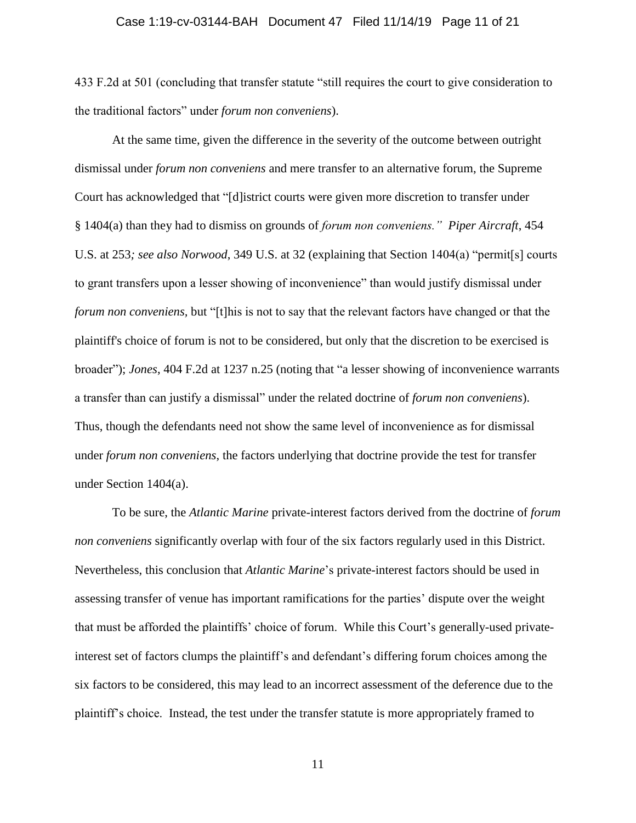## Case 1:19-cv-03144-BAH Document 47 Filed 11/14/19 Page 11 of 21

433 F.2d at 501 (concluding that transfer statute "still requires the court to give consideration to the traditional factors" under *forum non conveniens*).

At the same time, given the difference in the severity of the outcome between outright dismissal under *forum non conveniens* and mere transfer to an alternative forum, the Supreme Court has acknowledged that "[d]istrict courts were given more discretion to transfer under § 1404(a) than they had to dismiss on grounds of *forum non conveniens." Piper Aircraft*, 454 U.S. at 253*; see also Norwood*, 349 U.S. at 32 (explaining that Section 1404(a) "permit[s] courts to grant transfers upon a lesser showing of inconvenience" than would justify dismissal under *forum non conveniens,* but "[t]his is not to say that the relevant factors have changed or that the plaintiff's choice of forum is not to be considered, but only that the discretion to be exercised is broader"); *Jones*, 404 F.2d at 1237 n.25 (noting that "a lesser showing of inconvenience warrants a transfer than can justify a dismissal" under the related doctrine of *forum non conveniens*). Thus, though the defendants need not show the same level of inconvenience as for dismissal under *forum non conveniens*, the factors underlying that doctrine provide the test for transfer under Section 1404(a).

To be sure, the *Atlantic Marine* private-interest factors derived from the doctrine of *forum non conveniens* significantly overlap with four of the six factors regularly used in this District. Nevertheless, this conclusion that *Atlantic Marine*'s private-interest factors should be used in assessing transfer of venue has important ramifications for the parties' dispute over the weight that must be afforded the plaintiffs' choice of forum. While this Court's generally-used privateinterest set of factors clumps the plaintiff's and defendant's differing forum choices among the six factors to be considered, this may lead to an incorrect assessment of the deference due to the plaintiff's choice. Instead, the test under the transfer statute is more appropriately framed to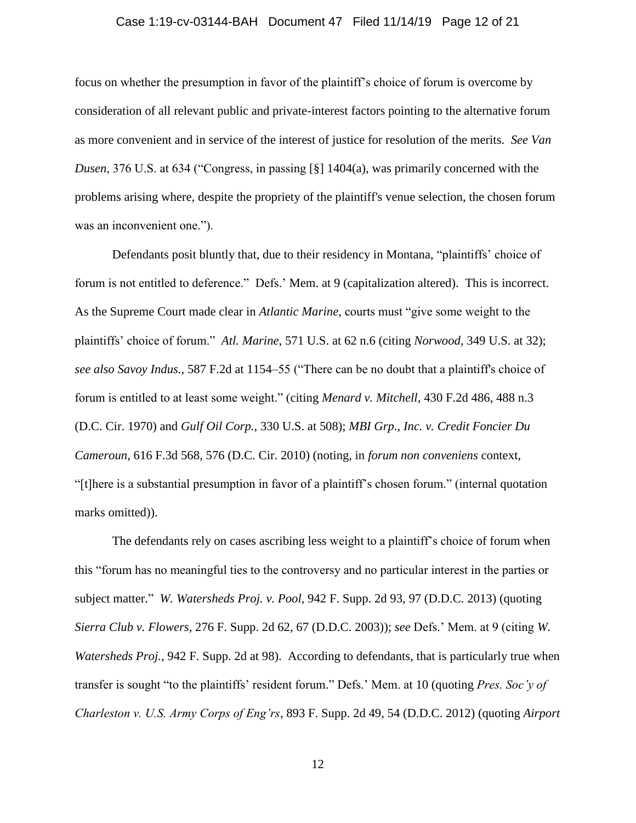## Case 1:19-cv-03144-BAH Document 47 Filed 11/14/19 Page 12 of 21

focus on whether the presumption in favor of the plaintiff's choice of forum is overcome by consideration of all relevant public and private-interest factors pointing to the alternative forum as more convenient and in service of the interest of justice for resolution of the merits. *See Van Dusen*, 376 U.S. at 634 ("Congress, in passing [§] 1404(a), was primarily concerned with the problems arising where, despite the propriety of the plaintiff's venue selection, the chosen forum was an inconvenient one.").

Defendants posit bluntly that, due to their residency in Montana, "plaintiffs' choice of forum is not entitled to deference." Defs.' Mem. at 9 (capitalization altered). This is incorrect. As the Supreme Court made clear in *Atlantic Marine,* courts must "give some weight to the plaintiffs' choice of forum." *Atl. Marine*, 571 U.S. at 62 n.6 (citing *Norwood*, 349 U.S. at 32); *see also Savoy Indus.*, 587 F.2d at 1154–55 ("There can be no doubt that a plaintiff's choice of forum is entitled to at least some weight." (citing *Menard v. Mitchell*, 430 F.2d 486, 488 n.3 (D.C. Cir. 1970) and *Gulf Oil Corp.*, 330 U.S. at 508); *MBI Grp., Inc. v. Credit Foncier Du Cameroun*, 616 F.3d 568, 576 (D.C. Cir. 2010) (noting, in *forum non conveniens* context, "[t]here is a substantial presumption in favor of a plaintiff's chosen forum." (internal quotation marks omitted)).

The defendants rely on cases ascribing less weight to a plaintiff's choice of forum when this "forum has no meaningful ties to the controversy and no particular interest in the parties or subject matter." *W. Watersheds Proj. v. Pool*, 942 F. Supp. 2d 93, 97 (D.D.C. 2013) (quoting *Sierra Club v. Flowers*, 276 F. Supp. 2d 62, 67 (D.D.C. 2003)); *see* Defs.' Mem. at 9 (citing *W. Watersheds Proj.*, 942 F. Supp. 2d at 98). According to defendants, that is particularly true when transfer is sought "to the plaintiffs' resident forum." Defs.' Mem. at 10 (quoting *Pres. Soc'y of Charleston v. U.S. Army Corps of Eng'rs*, 893 F. Supp. 2d 49, 54 (D.D.C. 2012) (quoting *Airport*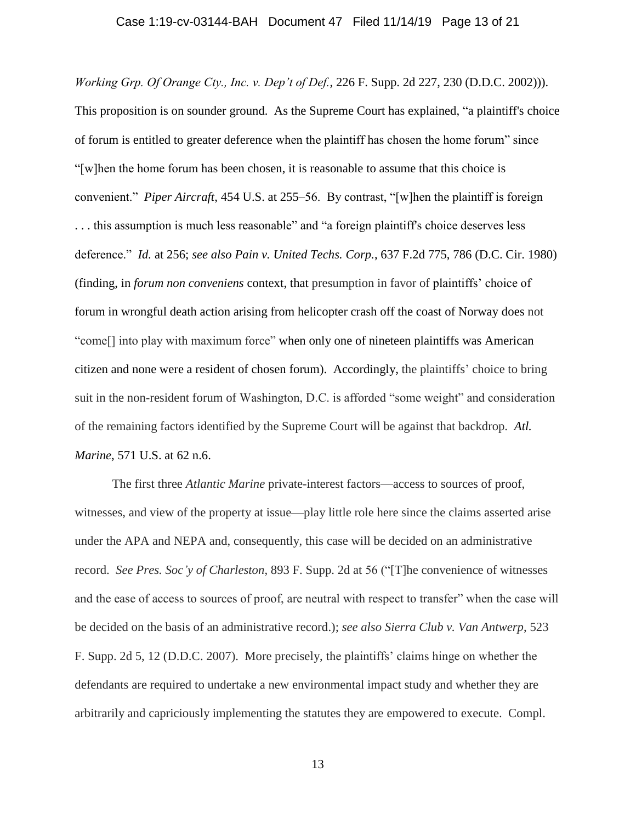*Working Grp. Of Orange Cty., Inc. v. Dep't of Def.*, 226 F. Supp. 2d 227, 230 (D.D.C. 2002))). This proposition is on sounder ground. As the Supreme Court has explained, "a plaintiff's choice of forum is entitled to greater deference when the plaintiff has chosen the home forum" since "[w]hen the home forum has been chosen, it is reasonable to assume that this choice is convenient." *Piper Aircraft*, 454 U.S. at 255–56. By contrast, "[w]hen the plaintiff is foreign ... this assumption is much less reasonable" and "a foreign plaintiff's choice deserves less deference." *Id.* at 256; *see also Pain v. United Techs. Corp.*, 637 F.2d 775, 786 (D.C. Cir. 1980) (finding, in *forum non conveniens* context, that presumption in favor of plaintiffs' choice of forum in wrongful death action arising from helicopter crash off the coast of Norway does not "come[] into play with maximum force" when only one of nineteen plaintiffs was American citizen and none were a resident of chosen forum). Accordingly, the plaintiffs' choice to bring suit in the non-resident forum of Washington, D.C. is afforded "some weight" and consideration of the remaining factors identified by the Supreme Court will be against that backdrop. *Atl. Marine*, 571 U.S. at 62 n.6.

The first three *Atlantic Marine* private-interest factors—access to sources of proof, witnesses, and view of the property at issue—play little role here since the claims asserted arise under the APA and NEPA and, consequently, this case will be decided on an administrative record. *See Pres. Soc'y of Charleston*, 893 F. Supp. 2d at 56 ("[T]he convenience of witnesses and the ease of access to sources of proof, are neutral with respect to transfer" when the case will be decided on the basis of an administrative record.); *see also Sierra Club v. Van Antwerp*, 523 F. Supp. 2d 5, 12 (D.D.C. 2007). More precisely, the plaintiffs' claims hinge on whether the defendants are required to undertake a new environmental impact study and whether they are arbitrarily and capriciously implementing the statutes they are empowered to execute. Compl.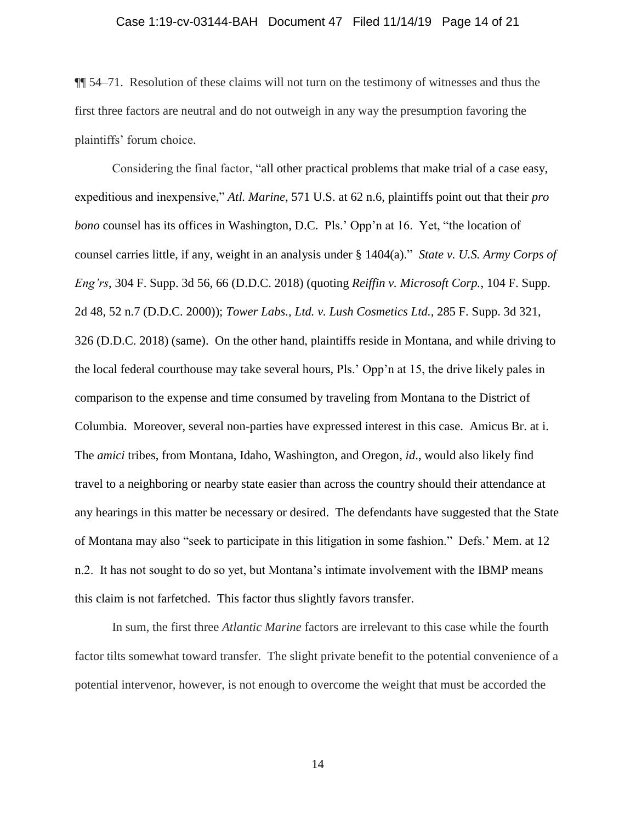## Case 1:19-cv-03144-BAH Document 47 Filed 11/14/19 Page 14 of 21

¶¶ 54–71. Resolution of these claims will not turn on the testimony of witnesses and thus the first three factors are neutral and do not outweigh in any way the presumption favoring the plaintiffs' forum choice.

Considering the final factor, "all other practical problems that make trial of a case easy, expeditious and inexpensive," *Atl. Marine*, 571 U.S. at 62 n.6, plaintiffs point out that their *pro bono* counsel has its offices in Washington, D.C. Pls.' Opp'n at 16. Yet, "the location of counsel carries little, if any, weight in an analysis under § 1404(a)." *State v. U.S. Army Corps of Eng'rs*, 304 F. Supp. 3d 56, 66 (D.D.C. 2018) (quoting *Reiffin v. Microsoft Corp.*, 104 F. Supp. 2d 48, 52 n.7 (D.D.C. 2000)); *Tower Labs., Ltd. v. Lush Cosmetics Ltd.*, 285 F. Supp. 3d 321, 326 (D.D.C. 2018) (same). On the other hand, plaintiffs reside in Montana, and while driving to the local federal courthouse may take several hours, Pls.' Opp'n at 15, the drive likely pales in comparison to the expense and time consumed by traveling from Montana to the District of Columbia. Moreover, several non-parties have expressed interest in this case. Amicus Br. at i. The *amici* tribes, from Montana, Idaho, Washington, and Oregon, *id*., would also likely find travel to a neighboring or nearby state easier than across the country should their attendance at any hearings in this matter be necessary or desired. The defendants have suggested that the State of Montana may also "seek to participate in this litigation in some fashion." Defs.' Mem. at 12 n.2. It has not sought to do so yet, but Montana's intimate involvement with the IBMP means this claim is not farfetched. This factor thus slightly favors transfer.

In sum, the first three *Atlantic Marine* factors are irrelevant to this case while the fourth factor tilts somewhat toward transfer. The slight private benefit to the potential convenience of a potential intervenor, however, is not enough to overcome the weight that must be accorded the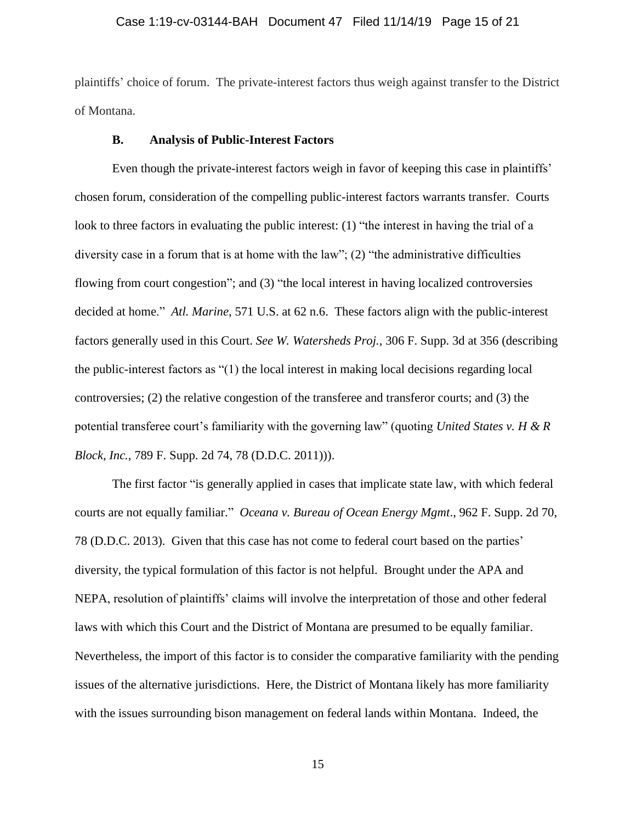## Case 1:19-cv-03144-BAH Document 47 Filed 11/14/19 Page 15 of 21

plaintiffs' choice of forum. The private-interest factors thus weigh against transfer to the District of Montana.

### **B. Analysis of Public-Interest Factors**

Even though the private-interest factors weigh in favor of keeping this case in plaintiffs' chosen forum, consideration of the compelling public-interest factors warrants transfer. Courts look to three factors in evaluating the public interest: (1) "the interest in having the trial of a diversity case in a forum that is at home with the law"; (2) "the administrative difficulties flowing from court congestion"; and (3) "the local interest in having localized controversies decided at home." *Atl. Marine*, 571 U.S. at 62 n.6. These factors align with the public-interest factors generally used in this Court. *See W. Watersheds Proj.*, 306 F. Supp. 3d at 356 (describing the public-interest factors as "(1) the local interest in making local decisions regarding local controversies; (2) the relative congestion of the transferee and transferor courts; and (3) the potential transferee court's familiarity with the governing law" (quoting *United States v. H & R Block, Inc.*, 789 F. Supp. 2d 74, 78 (D.D.C. 2011))).

The first factor "is generally applied in cases that implicate state law, with which federal courts are not equally familiar." *Oceana v. Bureau of Ocean Energy Mgmt*., 962 F. Supp. 2d 70, 78 (D.D.C. 2013). Given that this case has not come to federal court based on the parties' diversity, the typical formulation of this factor is not helpful. Brought under the APA and NEPA, resolution of plaintiffs' claims will involve the interpretation of those and other federal laws with which this Court and the District of Montana are presumed to be equally familiar. Nevertheless, the import of this factor is to consider the comparative familiarity with the pending issues of the alternative jurisdictions. Here, the District of Montana likely has more familiarity with the issues surrounding bison management on federal lands within Montana. Indeed, the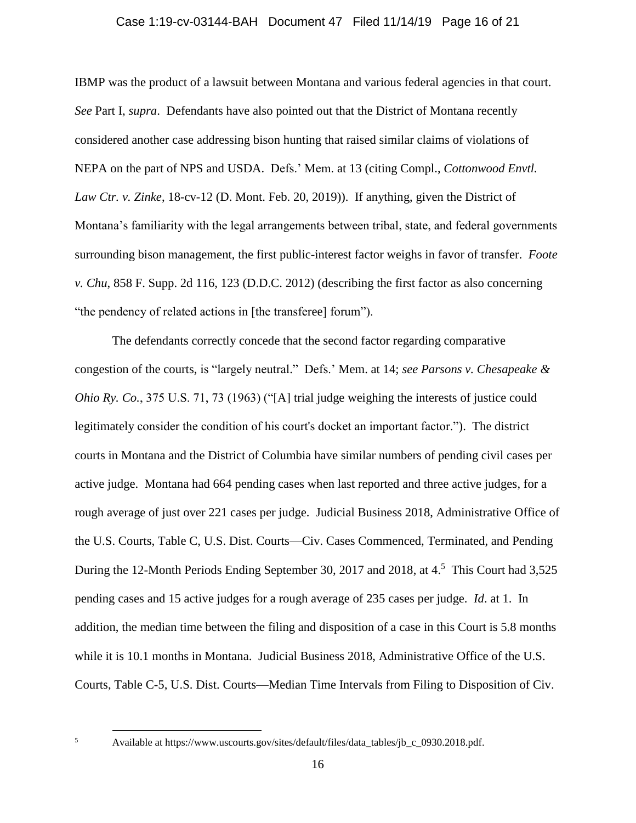## Case 1:19-cv-03144-BAH Document 47 Filed 11/14/19 Page 16 of 21

IBMP was the product of a lawsuit between Montana and various federal agencies in that court. *See* Part I, *supra*. Defendants have also pointed out that the District of Montana recently considered another case addressing bison hunting that raised similar claims of violations of NEPA on the part of NPS and USDA. Defs.' Mem. at 13 (citing Compl., *Cottonwood Envtl. Law Ctr. v. Zinke*, 18-cv-12 (D. Mont. Feb. 20, 2019)). If anything, given the District of Montana's familiarity with the legal arrangements between tribal, state, and federal governments surrounding bison management, the first public-interest factor weighs in favor of transfer. *Foote v. Chu*, 858 F. Supp. 2d 116, 123 (D.D.C. 2012) (describing the first factor as also concerning "the pendency of related actions in [the transferee] forum").

The defendants correctly concede that the second factor regarding comparative congestion of the courts, is "largely neutral." Defs.' Mem. at 14; *see Parsons v. Chesapeake & Ohio Ry. Co.*, 375 U.S. 71, 73 (1963) ("[A] trial judge weighing the interests of justice could legitimately consider the condition of his court's docket an important factor."). The district courts in Montana and the District of Columbia have similar numbers of pending civil cases per active judge. Montana had 664 pending cases when last reported and three active judges, for a rough average of just over 221 cases per judge. Judicial Business 2018, Administrative Office of the U.S. Courts, Table C, U.S. Dist. Courts—Civ. Cases Commenced, Terminated, and Pending During the 12-Month Periods Ending September 30, 2017 and 2018, at 4.<sup>5</sup> This Court had 3,525 pending cases and 15 active judges for a rough average of 235 cases per judge. *Id*. at 1. In addition, the median time between the filing and disposition of a case in this Court is 5.8 months while it is 10.1 months in Montana. Judicial Business 2018, Administrative Office of the U.S. Courts, Table C-5, U.S. Dist. Courts—Median Time Intervals from Filing to Disposition of Civ.

<sup>5</sup> Available at https://www.uscourts.gov/sites/default/files/data\_tables/jb\_c\_0930.2018.pdf.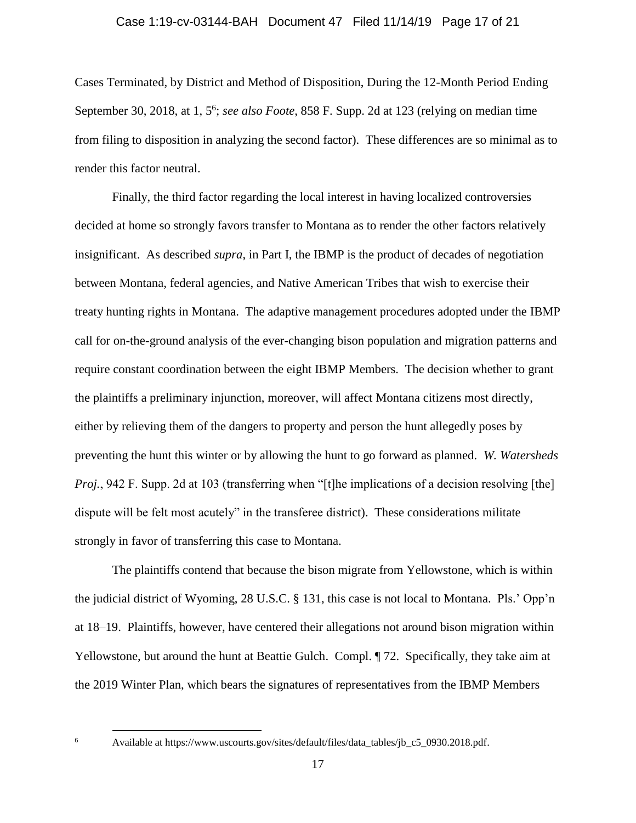## Case 1:19-cv-03144-BAH Document 47 Filed 11/14/19 Page 17 of 21

Cases Terminated, by District and Method of Disposition, During the 12-Month Period Ending September 30, 2018, at 1, 5 6 ; *see also Foote*, 858 F. Supp. 2d at 123 (relying on median time from filing to disposition in analyzing the second factor). These differences are so minimal as to render this factor neutral.

Finally, the third factor regarding the local interest in having localized controversies decided at home so strongly favors transfer to Montana as to render the other factors relatively insignificant. As described *supra*, in Part I, the IBMP is the product of decades of negotiation between Montana, federal agencies, and Native American Tribes that wish to exercise their treaty hunting rights in Montana. The adaptive management procedures adopted under the IBMP call for on-the-ground analysis of the ever-changing bison population and migration patterns and require constant coordination between the eight IBMP Members. The decision whether to grant the plaintiffs a preliminary injunction, moreover, will affect Montana citizens most directly, either by relieving them of the dangers to property and person the hunt allegedly poses by preventing the hunt this winter or by allowing the hunt to go forward as planned. *W. Watersheds Proj.*, 942 F. Supp. 2d at 103 (transferring when "[t]he implications of a decision resolving [the] dispute will be felt most acutely" in the transferee district). These considerations militate strongly in favor of transferring this case to Montana.

The plaintiffs contend that because the bison migrate from Yellowstone, which is within the judicial district of Wyoming, 28 U.S.C. § 131, this case is not local to Montana. Pls.' Opp'n at 18–19. Plaintiffs, however, have centered their allegations not around bison migration within Yellowstone, but around the hunt at Beattie Gulch. Compl. ¶ 72. Specifically, they take aim at the 2019 Winter Plan, which bears the signatures of representatives from the IBMP Members

<sup>6</sup> Available at https://www.uscourts.gov/sites/default/files/data\_tables/jb\_c5\_0930.2018.pdf.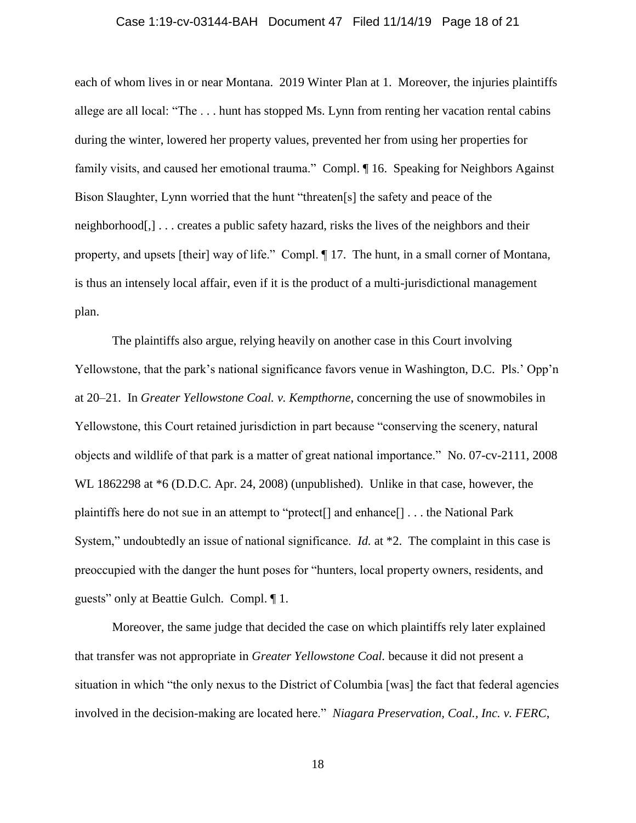# Case 1:19-cv-03144-BAH Document 47 Filed 11/14/19 Page 18 of 21

each of whom lives in or near Montana. 2019 Winter Plan at 1. Moreover, the injuries plaintiffs allege are all local: "The . . . hunt has stopped Ms. Lynn from renting her vacation rental cabins during the winter, lowered her property values, prevented her from using her properties for family visits, and caused her emotional trauma." Compl. ¶ 16. Speaking for Neighbors Against Bison Slaughter, Lynn worried that the hunt "threaten[s] the safety and peace of the neighborhood[,] . . . creates a public safety hazard, risks the lives of the neighbors and their property, and upsets [their] way of life." Compl. ¶ 17. The hunt, in a small corner of Montana, is thus an intensely local affair, even if it is the product of a multi-jurisdictional management plan.

The plaintiffs also argue, relying heavily on another case in this Court involving Yellowstone, that the park's national significance favors venue in Washington, D.C. Pls.' Opp'n at 20–21. In *Greater Yellowstone Coal. v. Kempthorne*, concerning the use of snowmobiles in Yellowstone, this Court retained jurisdiction in part because "conserving the scenery, natural objects and wildlife of that park is a matter of great national importance." No. 07-cv-2111, 2008 WL 1862298 at \*6 (D.D.C. Apr. 24, 2008) (unpublished). Unlike in that case, however, the plaintiffs here do not sue in an attempt to "protect[] and enhance[] . . . the National Park System," undoubtedly an issue of national significance. *Id.* at \*2. The complaint in this case is preoccupied with the danger the hunt poses for "hunters, local property owners, residents, and guests" only at Beattie Gulch. Compl. ¶ 1.

Moreover, the same judge that decided the case on which plaintiffs rely later explained that transfer was not appropriate in *Greater Yellowstone Coal.* because it did not present a situation in which "the only nexus to the District of Columbia [was] the fact that federal agencies involved in the decision-making are located here." *Niagara Preservation, Coal., Inc. v. FERC*,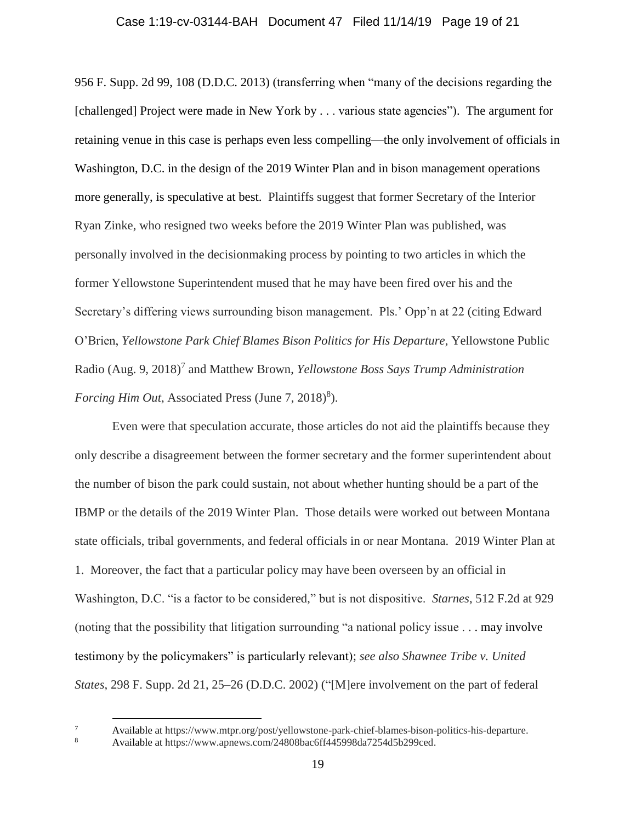# Case 1:19-cv-03144-BAH Document 47 Filed 11/14/19 Page 19 of 21

956 F. Supp. 2d 99, 108 (D.D.C. 2013) (transferring when "many of the decisions regarding the [challenged] Project were made in New York by . . . various state agencies"). The argument for retaining venue in this case is perhaps even less compelling—the only involvement of officials in Washington, D.C. in the design of the 2019 Winter Plan and in bison management operations more generally, is speculative at best. Plaintiffs suggest that former Secretary of the Interior Ryan Zinke, who resigned two weeks before the 2019 Winter Plan was published, was personally involved in the decisionmaking process by pointing to two articles in which the former Yellowstone Superintendent mused that he may have been fired over his and the Secretary's differing views surrounding bison management. Pls.' Opp'n at 22 (citing Edward O'Brien, *Yellowstone Park Chief Blames Bison Politics for His Departure*, Yellowstone Public Radio (Aug. 9, 2018)<sup>7</sup> and Matthew Brown, *Yellowstone Boss Says Trump Administration Forcing Him Out*, Associated Press (June 7, 2018)<sup>8</sup>).

Even were that speculation accurate, those articles do not aid the plaintiffs because they only describe a disagreement between the former secretary and the former superintendent about the number of bison the park could sustain, not about whether hunting should be a part of the IBMP or the details of the 2019 Winter Plan. Those details were worked out between Montana state officials, tribal governments, and federal officials in or near Montana. 2019 Winter Plan at 1. Moreover, the fact that a particular policy may have been overseen by an official in Washington, D.C. "is a factor to be considered," but is not dispositive. *Starnes*, 512 F.2d at 929 (noting that the possibility that litigation surrounding "a national policy issue . . . may involve testimony by the policymakers" is particularly relevant); *see also Shawnee Tribe v. United States*, 298 F. Supp. 2d 21, 25–26 (D.D.C. 2002) ("[M]ere involvement on the part of federal

<sup>7</sup> Available at https://www.mtpr.org/post/yellowstone-park-chief-blames-bison-politics-his-departure.<br>8 Available at https://www.appews.com/24808bac6ff445008da7254d5b200cod

Available at https://www.apnews.com/24808bac6ff445998da7254d5b299ced.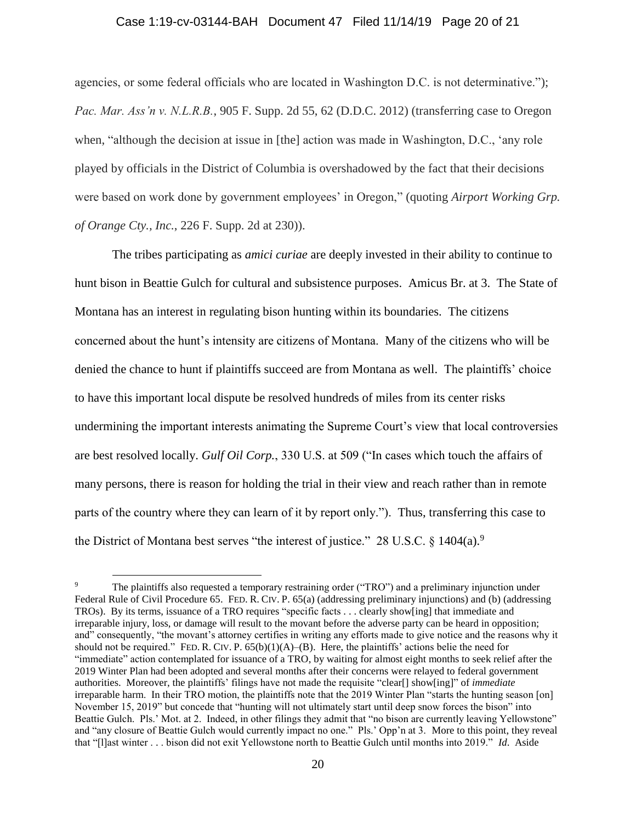### Case 1:19-cv-03144-BAH Document 47 Filed 11/14/19 Page 20 of 21

agencies, or some federal officials who are located in Washington D.C. is not determinative."); *Pac. Mar. Ass'n v. N.L.R.B.*, 905 F. Supp. 2d 55, 62 (D.D.C. 2012) (transferring case to Oregon when, "although the decision at issue in [the] action was made in Washington, D.C., 'any role played by officials in the District of Columbia is overshadowed by the fact that their decisions were based on work done by government employees' in Oregon," (quoting *Airport Working Grp. of Orange Cty., Inc.*, 226 F. Supp. 2d at 230)).

The tribes participating as *amici curiae* are deeply invested in their ability to continue to hunt bison in Beattie Gulch for cultural and subsistence purposes. Amicus Br. at 3. The State of Montana has an interest in regulating bison hunting within its boundaries. The citizens concerned about the hunt's intensity are citizens of Montana. Many of the citizens who will be denied the chance to hunt if plaintiffs succeed are from Montana as well. The plaintiffs' choice to have this important local dispute be resolved hundreds of miles from its center risks undermining the important interests animating the Supreme Court's view that local controversies are best resolved locally. *Gulf Oil Corp.*, 330 U.S. at 509 ("In cases which touch the affairs of many persons, there is reason for holding the trial in their view and reach rather than in remote parts of the country where they can learn of it by report only."). Thus, transferring this case to the District of Montana best serves "the interest of justice." 28 U.S.C. § 1404(a).<sup>9</sup>

The plaintiffs also requested a temporary restraining order ("TRO") and a preliminary injunction under Federal Rule of Civil Procedure 65. FED. R. CIV. P. 65(a) (addressing preliminary injunctions) and (b) (addressing TROs). By its terms, issuance of a TRO requires "specific facts . . . clearly show[ing] that immediate and irreparable injury, loss, or damage will result to the movant before the adverse party can be heard in opposition; and" consequently, "the movant's attorney certifies in writing any efforts made to give notice and the reasons why it should not be required." FED. R. CIV. P.  $65(b)(1)(A)$ –(B). Here, the plaintiffs' actions belie the need for "immediate" action contemplated for issuance of a TRO, by waiting for almost eight months to seek relief after the 2019 Winter Plan had been adopted and several months after their concerns were relayed to federal government authorities. Moreover, the plaintiffs' filings have not made the requisite "clear[] show[ing]" of *immediate* irreparable harm. In their TRO motion, the plaintiffs note that the 2019 Winter Plan "starts the hunting season [on] November 15, 2019" but concede that "hunting will not ultimately start until deep snow forces the bison" into Beattie Gulch. Pls.' Mot. at 2. Indeed, in other filings they admit that "no bison are currently leaving Yellowstone" and "any closure of Beattie Gulch would currently impact no one." Pls.' Opp'n at 3. More to this point, they reveal that "[l]ast winter . . . bison did not exit Yellowstone north to Beattie Gulch until months into 2019." *Id*. Aside